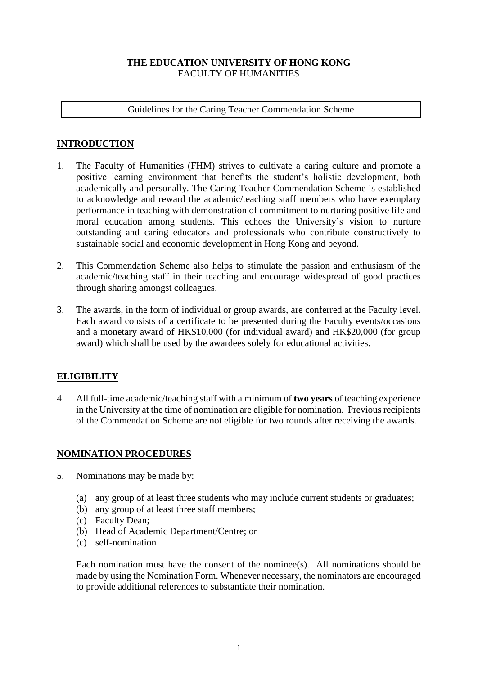## **THE EDUCATION UNIVERSITY OF HONG KONG**  FACULTY OF HUMANITIES

### Guidelines for the Caring Teacher Commendation Scheme

# **INTRODUCTION**

- 1. The Faculty of Humanities (FHM) strives to cultivate a caring culture and promote a positive learning environment that benefits the student's holistic development, both academically and personally. The Caring Teacher Commendation Scheme is established to acknowledge and reward the academic/teaching staff members who have exemplary performance in teaching with demonstration of commitment to nurturing positive life and moral education among students. This echoes the University's vision to nurture outstanding and caring educators and professionals who contribute constructively to sustainable social and economic development in Hong Kong and beyond.
- 2. This Commendation Scheme also helps to stimulate the passion and enthusiasm of the academic/teaching staff in their teaching and encourage widespread of good practices through sharing amongst colleagues.
- 3. The awards, in the form of individual or group awards, are conferred at the Faculty level. Each award consists of a certificate to be presented during the Faculty events/occasions and a monetary award of HK\$10,000 (for individual award) and HK\$20,000 (for group award) which shall be used by the awardees solely for educational activities.

## **ELIGIBILITY**

4. All full-time academic/teaching staff with a minimum of **two years** of teaching experience in the University at the time of nomination are eligible for nomination. Previous recipients of the Commendation Scheme are not eligible for two rounds after receiving the awards.

# **NOMINATION PROCEDURES**

- 5. Nominations may be made by:
	- (a) any group of at least three students who may include current students or graduates;
	- (b) any group of at least three staff members;
	- (c) Faculty Dean;
	- (b) Head of Academic Department/Centre; or
	- (c) self-nomination

Each nomination must have the consent of the nominee(s). All nominations should be made by using the Nomination Form. Whenever necessary, the nominators are encouraged to provide additional references to substantiate their nomination.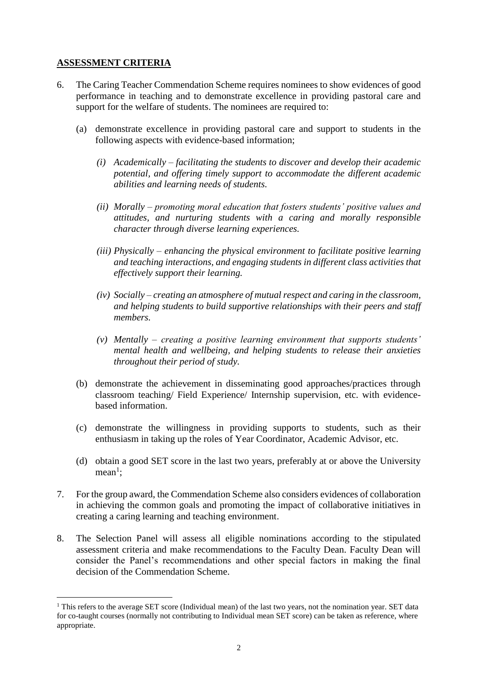### **ASSESSMENT CRITERIA**

 $\overline{a}$ 

- 6. The Caring Teacher Commendation Scheme requires nominees to show evidences of good performance in teaching and to demonstrate excellence in providing pastoral care and support for the welfare of students. The nominees are required to:
	- (a) demonstrate excellence in providing pastoral care and support to students in the following aspects with evidence-based information;
		- *(i) Academically – facilitating the students to discover and develop their academic potential, and offering timely support to accommodate the different academic abilities and learning needs of students.*
		- *(ii) Morally – promoting moral education that fosters students' positive values and attitudes, and nurturing students with a caring and morally responsible character through diverse learning experiences.*
		- *(iii) Physically – enhancing the physical environment to facilitate positive learning and teaching interactions, and engaging students in different class activities that effectively support their learning.*
		- *(iv) Socially – creating an atmosphere of mutual respect and caring in the classroom, and helping students to build supportive relationships with their peers and staff members.*
		- *(v) Mentally – creating a positive learning environment that supports students' mental health and wellbeing, and helping students to release their anxieties throughout their period of study.*
	- (b) demonstrate the achievement in disseminating good approaches/practices through classroom teaching/ Field Experience/ Internship supervision, etc. with evidencebased information.
	- (c) demonstrate the willingness in providing supports to students, such as their enthusiasm in taking up the roles of Year Coordinator, Academic Advisor, etc.
	- (d) obtain a good SET score in the last two years, preferably at or above the University  $mean<sup>1</sup>$ ;
- 7. For the group award, the Commendation Scheme also considers evidences of collaboration in achieving the common goals and promoting the impact of collaborative initiatives in creating a caring learning and teaching environment.
- 8. The Selection Panel will assess all eligible nominations according to the stipulated assessment criteria and make recommendations to the Faculty Dean. Faculty Dean will consider the Panel's recommendations and other special factors in making the final decision of the Commendation Scheme.

<sup>&</sup>lt;sup>1</sup> This refers to the average SET score (Individual mean) of the last two years, not the nomination year. SET data for co-taught courses (normally not contributing to Individual mean SET score) can be taken as reference, where appropriate.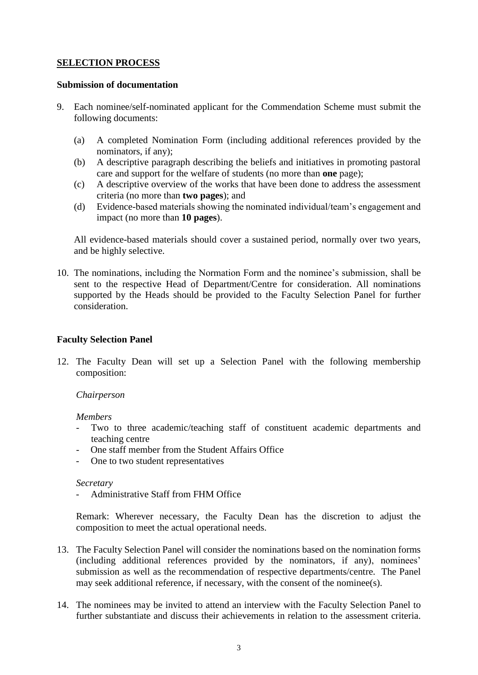### **SELECTION PROCESS**

#### **Submission of documentation**

- 9. Each nominee/self-nominated applicant for the Commendation Scheme must submit the following documents:
	- (a) A completed Nomination Form (including additional references provided by the nominators, if any);
	- (b) A descriptive paragraph describing the beliefs and initiatives in promoting pastoral care and support for the welfare of students (no more than **one** page);
	- (c) A descriptive overview of the works that have been done to address the assessment criteria (no more than **two pages**); and
	- (d) Evidence-based materials showing the nominated individual/team's engagement and impact (no more than **10 pages**).

All evidence-based materials should cover a sustained period, normally over two years, and be highly selective.

10. The nominations, including the Normation Form and the nominee's submission, shall be sent to the respective Head of Department/Centre for consideration. All nominations supported by the Heads should be provided to the Faculty Selection Panel for further consideration.

### **Faculty Selection Panel**

12. The Faculty Dean will set up a Selection Panel with the following membership composition:

#### *Chairperson*

#### *Members*

- Two to three academic/teaching staff of constituent academic departments and teaching centre
- One staff member from the Student Affairs Office
- One to two student representatives

#### *Secretary*

- Administrative Staff from FHM Office

Remark: Wherever necessary, the Faculty Dean has the discretion to adjust the composition to meet the actual operational needs.

- 13. The Faculty Selection Panel will consider the nominations based on the nomination forms (including additional references provided by the nominators, if any), nominees' submission as well as the recommendation of respective departments/centre. The Panel may seek additional reference, if necessary, with the consent of the nominee(s).
- 14. The nominees may be invited to attend an interview with the Faculty Selection Panel to further substantiate and discuss their achievements in relation to the assessment criteria.